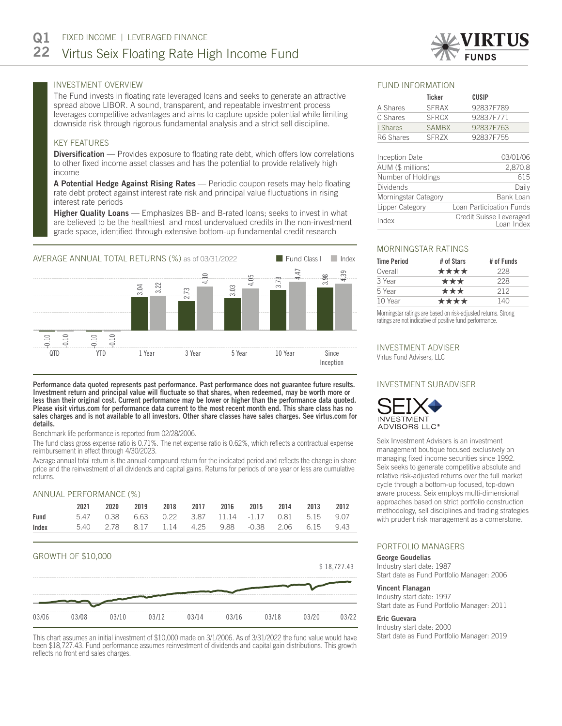

# INVESTMENT OVERVIEW

The Fund invests in floating rate leveraged loans and seeks to generate an attractive spread above LIBOR. A sound, transparent, and repeatable investment process leverages competitive advantages and aims to capture upside potential while limiting downside risk through rigorous fundamental analysis and a strict sell discipline.

#### KEY FEATURES

**Diversification** — Provides exposure to floating rate debt, which offers low correlations to other fixed income asset classes and has the potential to provide relatively high income

A Potential Hedge Against Rising Rates — Periodic coupon resets may help floating rate debt protect against interest rate risk and principal value fluctuations in rising interest rate periods

Higher Quality Loans — Emphasizes BB- and B-rated loans; seeks to invest in what are believed to be the healthiest and most undervalued credits in the non-investment grade space, identified through extensive bottom-up fundamental credit research



Performance data quoted represents past performance. Past performance does not guarantee future results. Investment return and principal value will fluctuate so that shares, when redeemed, may be worth more or less than their original cost. Current performance may be lower or higher than the performance data quoted. Please visit virtus.com for performance data current to the most recent month end. This share class has no sales charges and is not available to all investors. Other share classes have sales charges. See virtus.com for details.

Benchmark life performance is reported from 02/28/2006.

The fund class gross expense ratio is 0.71%. The net expense ratio is 0.62%, which reflects a contractual expense reimbursement in effect through 4/30/2023.

Average annual total return is the annual compound return for the indicated period and reflects the change in share price and the reinvestment of all dividends and capital gains. Returns for periods of one year or less are cumulative returns.

## ANNUAL PERFORMANCE (%)

|       | 2021 |  |  | 2020 2019 2018 2017 2016 2015 2014 2013 2012                 |  |  |
|-------|------|--|--|--------------------------------------------------------------|--|--|
| Fund  |      |  |  | 5.47  0.38  6.63  0.22  3.87  11.14  -1.17  0.81  5.15  9.07 |  |  |
| Index |      |  |  | 5.40  2.78  8.17  1.14  4.25  9.88  -0.38  2.06  6.15  9.43  |  |  |





This chart assumes an initial investment of \$10,000 made on 3/1/2006. As of 3/31/2022 the fund value would have been \$18,727.43. Fund performance assumes reinvestment of dividends and capital gain distributions. This growth reflects no front end sales charges.

#### FUND INFORMATION

|           | Ticker       | CUSIP     |
|-----------|--------------|-----------|
| A Shares  | <b>SFRAX</b> | 92837F789 |
| C Shares  | <b>SFRCX</b> | 92837F771 |
| I Shares  | <b>SAMBX</b> | 92837F763 |
| R6 Shares | SFR7X        | 92837F755 |

| Inception Date       | 03/01/06                              |
|----------------------|---------------------------------------|
| AUM (\$ millions)    | 2,870.8                               |
| Number of Holdings   | 615                                   |
| Dividends            | Daily                                 |
| Morningstar Category | Bank Loan                             |
| Lipper Category      | Loan Participation Funds              |
| Index                | Credit Suisse Leveraged<br>Loan Index |

#### MORNINGSTAR RATINGS

| <b>Time Period</b> | # of Stars | # of Funds |  |
|--------------------|------------|------------|--|
| Overall            | ****       | 228        |  |
| 3 Year             | ***        | 228        |  |
| 5 Year             | ***        | 212        |  |
| 10 Year            | ****       | 140        |  |

Morningstar ratings are based on risk-adjusted returns. Strong ratings are not indicative of positive fund performance.

### INVESTMENT ADVISER

Virtus Fund Advisers, LLC

# INVESTMENT SUBADVISER



Seix Investment Advisors is an investment management boutique focused exclusively on managing fixed income securities since 1992. Seix seeks to generate competitive absolute and relative risk-adjusted returns over the full market cycle through a bottom-up focused, top-down aware process. Seix employs multi-dimensional approaches based on strict portfolio construction methodology, sell disciplines and trading strategies with prudent risk management as a cornerstone.

#### PORTFOLIO MANAGERS

#### George Goudelias

Industry start date: 1987 Start date as Fund Portfolio Manager: 2006

### Vincent Flanagan

Industry start date: 1997 Start date as Fund Portfolio Manager: 2011

#### Eric Guevara

Industry start date: 2000 Start date as Fund Portfolio Manager: 2019